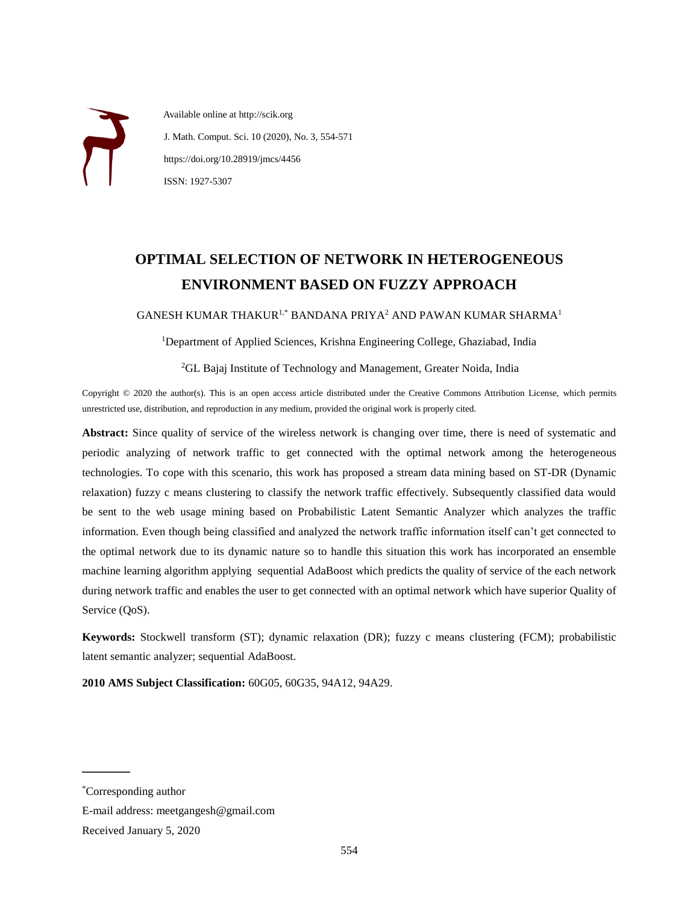Available online at http://scik.org J. Math. Comput. Sci. 10 (2020), No. 3, 554-571 https://doi.org/10.28919/jmcs/4456 ISSN: 1927-5307

# **OPTIMAL SELECTION OF NETWORK IN HETEROGENEOUS ENVIRONMENT BASED ON FUZZY APPROACH**

GANESH KUMAR THAKUR1,\* BANDANA PRIYA<sup>2</sup> AND PAWAN KUMAR SHARMA<sup>1</sup>

<sup>1</sup>Department of Applied Sciences, Krishna Engineering College, Ghaziabad, India

<sup>2</sup>GL Bajaj Institute of Technology and Management, Greater Noida, India

Copyright © 2020 the author(s). This is an open access article distributed under the Creative Commons Attribution License, which permits unrestricted use, distribution, and reproduction in any medium, provided the original work is properly cited.

**Abstract:** Since quality of service of the wireless network is changing over time, there is need of systematic and periodic analyzing of network traffic to get connected with the optimal network among the heterogeneous technologies. To cope with this scenario, this work has proposed a stream data mining based on ST-DR (Dynamic relaxation) fuzzy c means clustering to classify the network traffic effectively. Subsequently classified data would be sent to the web usage mining based on Probabilistic Latent Semantic Analyzer which analyzes the traffic information. Even though being classified and analyzed the network traffic information itself can't get connected to the optimal network due to its dynamic nature so to handle this situation this work has incorporated an ensemble machine learning algorithm applying sequential AdaBoost which predicts the quality of service of the each network during network traffic and enables the user to get connected with an optimal network which have superior Quality of Service (QoS).

**Keywords:** Stockwell transform (ST); dynamic relaxation (DR); fuzzy c means clustering (FCM); probabilistic latent semantic analyzer; sequential AdaBoost.

**2010 AMS Subject Classification:** 60G05, 60G35, 94A12, 94A29.

 $\overline{\phantom{a}}$ 

<sup>\*</sup>Corresponding author

E-mail address: meetgangesh@gmail.com

Received January 5, 2020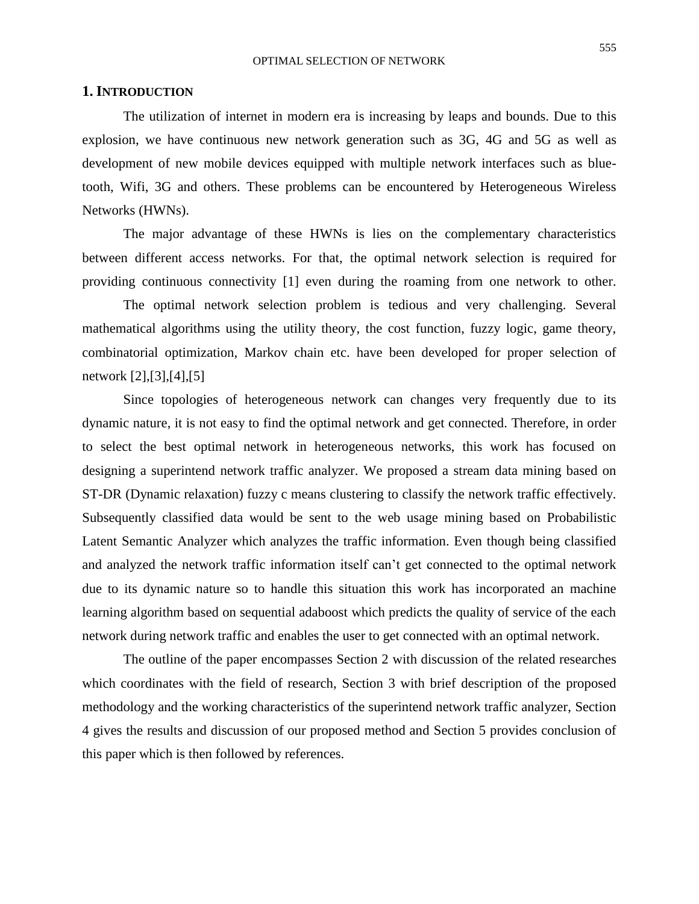#### OPTIMAL SELECTION OF NETWORK

#### **1. INTRODUCTION**

The utilization of internet in modern era is increasing by leaps and bounds. Due to this explosion, we have continuous new network generation such as 3G, 4G and 5G as well as development of new mobile devices equipped with multiple network interfaces such as bluetooth, Wifi, 3G and others. These problems can be encountered by Heterogeneous Wireless Networks (HWNs).

The major advantage of these HWNs is lies on the complementary characteristics between different access networks. For that, the optimal network selection is required for providing continuous connectivity [1] even during the roaming from one network to other.

The optimal network selection problem is tedious and very challenging. Several mathematical algorithms using the utility theory, the cost function, fuzzy logic, game theory, combinatorial optimization, Markov chain etc. have been developed for proper selection of network [2],[3],[4],[5]

Since topologies of heterogeneous network can changes very frequently due to its dynamic nature, it is not easy to find the optimal network and get connected. Therefore, in order to select the best optimal network in heterogeneous networks, this work has focused on designing a superintend network traffic analyzer. We proposed a stream data mining based on ST-DR (Dynamic relaxation) fuzzy c means clustering to classify the network traffic effectively. Subsequently classified data would be sent to the web usage mining based on Probabilistic Latent Semantic Analyzer which analyzes the traffic information. Even though being classified and analyzed the network traffic information itself can't get connected to the optimal network due to its dynamic nature so to handle this situation this work has incorporated an machine learning algorithm based on sequential adaboost which predicts the quality of service of the each network during network traffic and enables the user to get connected with an optimal network.

The outline of the paper encompasses Section 2 with discussion of the related researches which coordinates with the field of research, Section 3 with brief description of the proposed methodology and the working characteristics of the superintend network traffic analyzer, Section 4 gives the results and discussion of our proposed method and Section 5 provides conclusion of this paper which is then followed by references.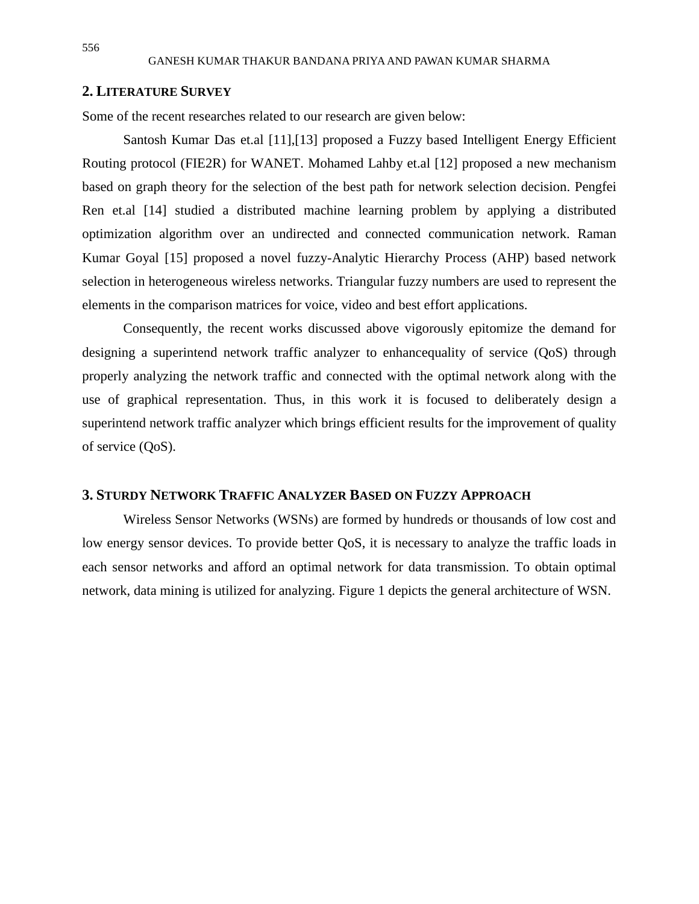## **2. LITERATURE SURVEY**

Some of the recent researches related to our research are given below:

Santosh Kumar Das et.al [11],[13] proposed a Fuzzy based Intelligent Energy Efficient Routing protocol (FIE2R) for WANET. Mohamed Lahby et.al [12] proposed a new mechanism based on graph theory for the selection of the best path for network selection decision. Pengfei Ren et.al [14] studied a distributed machine learning problem by applying a distributed optimization algorithm over an undirected and connected communication network. Raman Kumar Goyal [15] proposed a novel fuzzy-Analytic Hierarchy Process (AHP) based network selection in heterogeneous wireless networks. Triangular fuzzy numbers are used to represent the elements in the comparison matrices for voice, video and best effort applications.

Consequently, the recent works discussed above vigorously epitomize the demand for designing a superintend network traffic analyzer to enhancequality of service (QoS) through properly analyzing the network traffic and connected with the optimal network along with the use of graphical representation. Thus, in this work it is focused to deliberately design a superintend network traffic analyzer which brings efficient results for the improvement of quality of service (QoS).

#### **3. STURDY NETWORK TRAFFIC ANALYZER BASED ON FUZZY APPROACH**

Wireless Sensor Networks (WSNs) are formed by hundreds or thousands of low cost and low energy sensor devices. To provide better QoS, it is necessary to analyze the traffic loads in each sensor networks and afford an optimal network for data transmission. To obtain optimal network, data mining is utilized for analyzing. Figure 1 depicts the general architecture of WSN.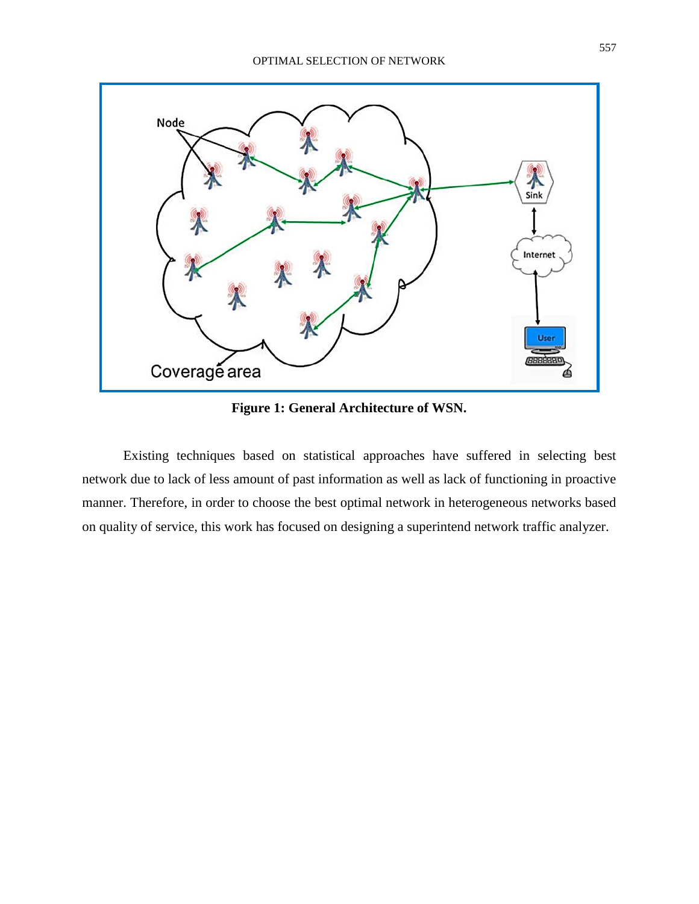

**Figure 1: General Architecture of WSN.**

Existing techniques based on statistical approaches have suffered in selecting best network due to lack of less amount of past information as well as lack of functioning in proactive manner. Therefore, in order to choose the best optimal network in heterogeneous networks based on quality of service, this work has focused on designing a superintend network traffic analyzer.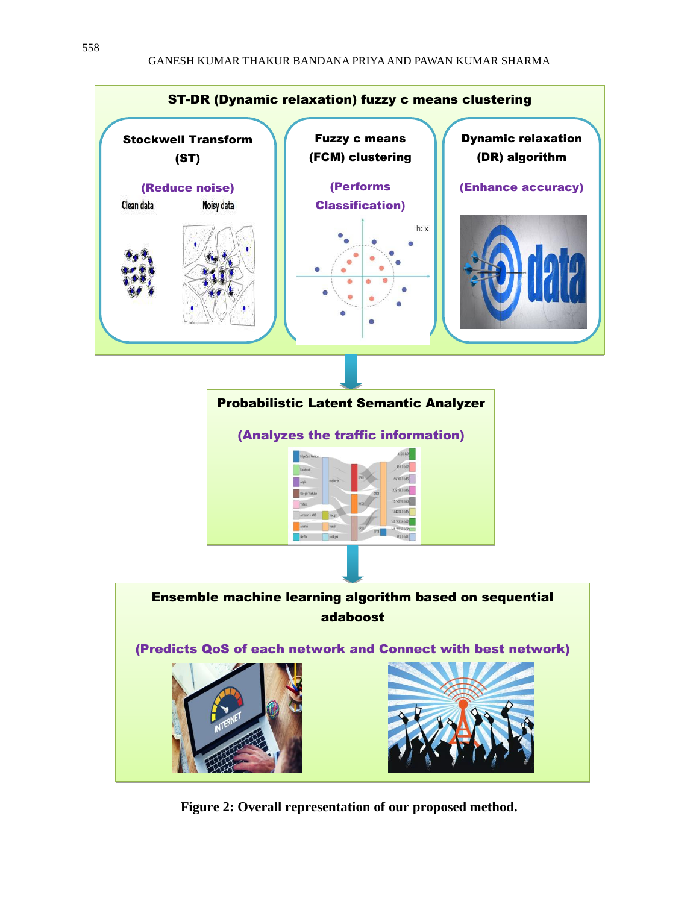

**Figure 2: Overall representation of our proposed method.**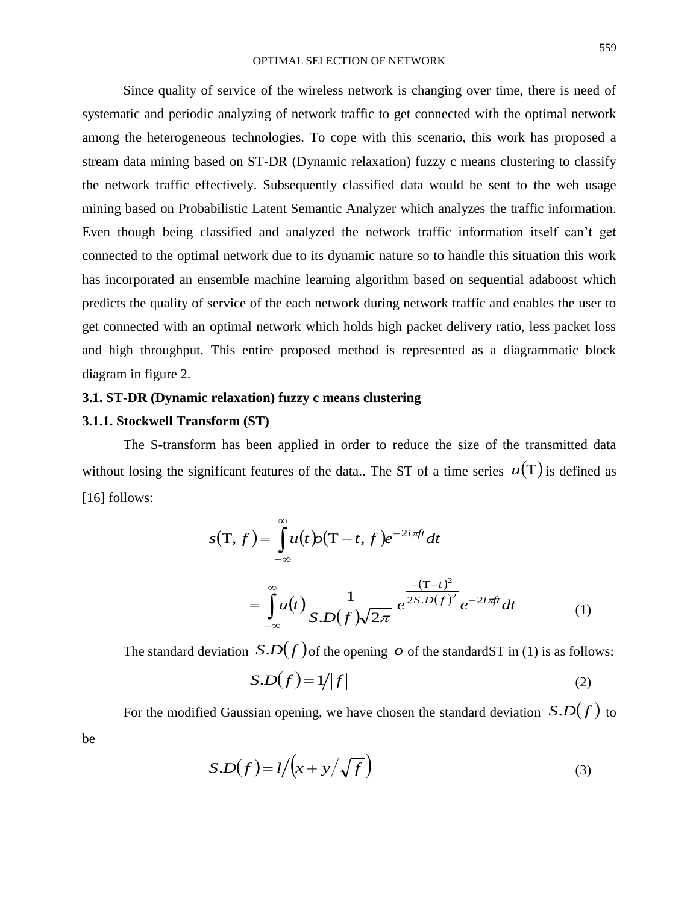Since quality of service of the wireless network is changing over time, there is need of systematic and periodic analyzing of network traffic to get connected with the optimal network among the heterogeneous technologies. To cope with this scenario, this work has proposed a stream data mining based on ST-DR (Dynamic relaxation) fuzzy c means clustering to classify the network traffic effectively. Subsequently classified data would be sent to the web usage mining based on Probabilistic Latent Semantic Analyzer which analyzes the traffic information. Even though being classified and analyzed the network traffic information itself can't get connected to the optimal network due to its dynamic nature so to handle this situation this work has incorporated an ensemble machine learning algorithm based on sequential adaboost which predicts the quality of service of the each network during network traffic and enables the user to get connected with an optimal network which holds high packet delivery ratio, less packet loss and high throughput. This entire proposed method is represented as a diagrammatic block diagram in figure 2.

## **3.1. ST-DR (Dynamic relaxation) fuzzy c means clustering**

## **3.1.1. Stockwell Transform (ST)**

be

The S-transform has been applied in order to reduce the size of the transmitted data without losing the significant features of the data.. The ST of a time series  $u(T)$  is defined as [16] follows:

$$
s(T, f) = \int_{-\infty}^{\infty} u(t) \rho(T - t, f) e^{-2i\pi ft} dt
$$
  
= 
$$
\int_{-\infty}^{\infty} u(t) \frac{1}{S.D(f)\sqrt{2\pi}} e^{\frac{-(T-t)^2}{2S.D(f)^2}} e^{-2i\pi ft} dt
$$
 (1)

The standard deviation  $S.D(f)$  of the opening  $\phi$  of the standardST in (1) is as follows:

$$
S.D(f) = 1/|f|
$$
 (2)

For the modified Gaussian opening, we have chosen the standard deviation  $S.D(f)$  to

$$
S.D(f) = l/(x + y/\sqrt{f})
$$
\n(3)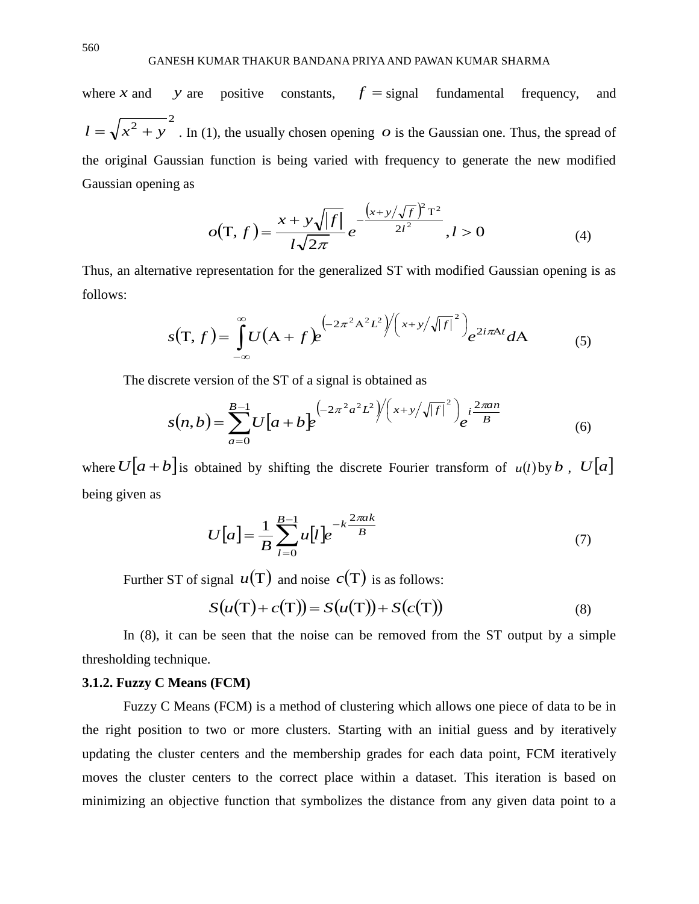where *x* and *y* are positive constants,  $f =$  signal fundamental frequency, and  $l = \sqrt{x^2 + y^2}$ . In (1), the usually chosen opening  $\phi$  is the Gaussian one. Thus, the spread of the original Gaussian function is being varied with frequency to generate the new modified Gaussian opening as

$$
o(T, f) = \frac{x + y\sqrt{|f|}}{l\sqrt{2\pi}} e^{-\frac{(x + y/\sqrt{f})^2 T^2}{2l^2}}, l > 0
$$
 (4)

Thus, an alternative representation for the generalized ST with modified Gaussian opening is as follows:

$$
s(T,f) = \int_{-\infty}^{\infty} U(A+f)e^{(-2\pi^2A^2L^2)\left(\left(x+y/\sqrt{|f|}\right)^2\right)}e^{2i\pi A t}dA
$$
 (5)

The discrete version of the ST of a signal is obtained as

$$
s(n,b) = \sum_{a=0}^{B-1} U[a+b]e^{(-2\pi^2 a^2 L^2) / (x+y/\sqrt{|f|})^2} e^{i\frac{2\pi a n}{B}}
$$
(6)

where  $U[a + b]$  is obtained by shifting the discrete Fourier transform of  $u(l)$  by b,  $U[a]$ being given as

$$
U[a] = \frac{1}{B} \sum_{l=0}^{B-1} u[l] e^{-k \frac{2\pi ak}{B}}
$$
 (7)

Further ST of signal  $u(T)$  and noise  $c(T)$  is as follows:

$$
S(u(T) + c(T)) = S(u(T)) + S(c(T))
$$
\n(8)

In (8), it can be seen that the noise can be removed from the ST output by a simple thresholding technique.

#### **3.1.2. Fuzzy C Means (FCM)**

Fuzzy C Means (FCM) is a method of clustering which allows one piece of data to be in the right position to two or more clusters. Starting with an initial guess and by iteratively updating the cluster centers and the membership grades for each data point, FCM iteratively moves the cluster centers to the correct place within a dataset. This iteration is based on minimizing an objective function that symbolizes the distance from any given data point to a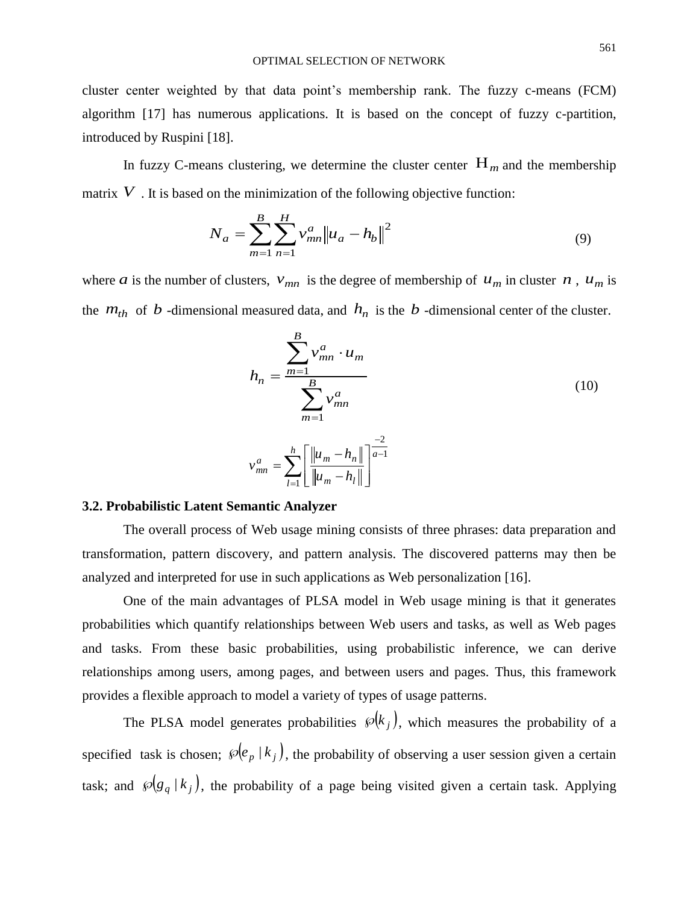cluster center weighted by that data point's membership rank. The fuzzy c-means (FCM) algorithm [17] has numerous applications. It is based on the concept of fuzzy c-partition, introduced by Ruspini [18].

In fuzzy C-means clustering, we determine the cluster center  $H_m$  and the membership matrix  $V$ . It is based on the minimization of the following objective function:

$$
N_a = \sum_{m=1}^{B} \sum_{n=1}^{H} v_{mn}^a ||u_a - h_b||^2
$$
 (9)

where *a* is the number of clusters,  $v_{mn}$  is the degree of membership of  $u_m$  in cluster *n*,  $u_m$  is the  $m_{th}$  of *b* -dimensional measured data, and  $h_n$  is the *b* -dimensional center of the cluster.

$$
h_n = \frac{\sum_{m=1}^{B} v_{mn}^a \cdot u_m}{\sum_{m=1}^{B} v_{mn}^a}
$$
(10)  

$$
v_{mn}^a = \sum_{l=1}^{h} \left[ \frac{\|u_m - h_n\|}{\|u_m - h_l\|} \right]^{\frac{-2}{a-1}}
$$

#### **3.2. Probabilistic Latent Semantic Analyzer**

The overall process of Web usage mining consists of three phrases: data preparation and transformation, pattern discovery, and pattern analysis. The discovered patterns may then be analyzed and interpreted for use in such applications as Web personalization [16].

One of the main advantages of PLSA model in Web usage mining is that it generates probabilities which quantify relationships between Web users and tasks, as well as Web pages and tasks. From these basic probabilities, using probabilistic inference, we can derive relationships among users, among pages, and between users and pages. Thus, this framework provides a flexible approach to model a variety of types of usage patterns.

The PLSA model generates probabilities  $\mathcal{P}(k_j)$ , which measures the probability of a specified task is chosen;  $\mathcal{P}(e_p | k_j)$ , the probability of observing a user session given a certain task; and  $\mathcal{P}(g_q | k_j)$ , the probability of a page being visited given a certain task. Applying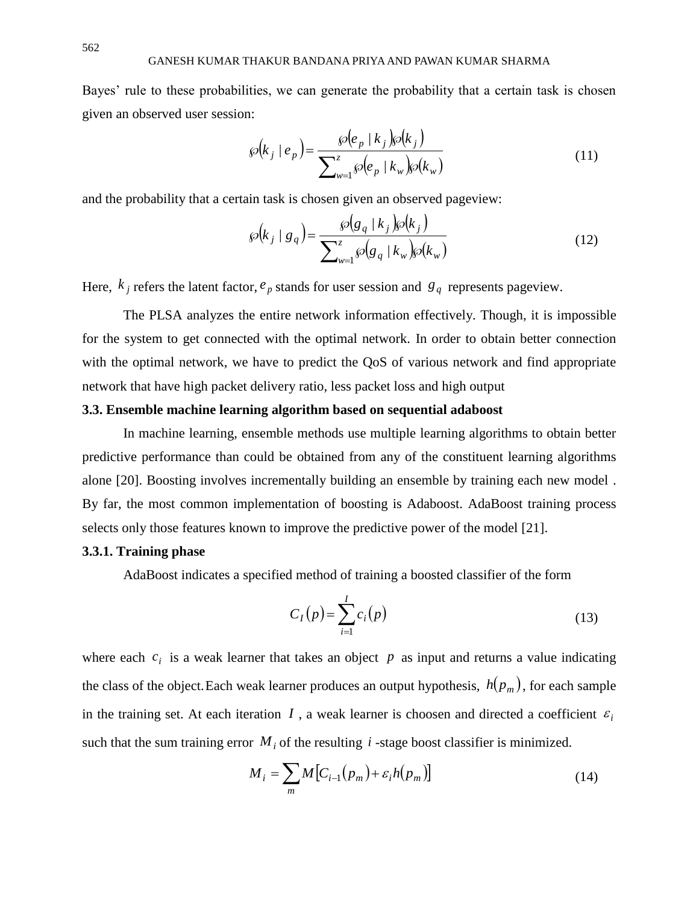Bayes' rule to these probabilities, we can generate the probability that a certain task is chosen given an observed user session:

$$
\wp(k_j \mid e_p) = \frac{\wp(e_p \mid k_j) \wp(k_j)}{\sum_{w=1}^{z} \wp(e_p \mid k_w) \wp(k_w)}
$$
(11)

and the probability that a certain task is chosen given an observed pageview:

$$
\wp(k_j \mid g_q) = \frac{\wp(g_q \mid k_j) \wp(k_j)}{\sum_{w=1}^{z} \wp(g_q \mid k_w) \wp(k_w)}
$$
(12)

Here,  $k_j$  refers the latent factor,  $e_p$  stands for user session and  $g_q$  represents pageview.

The PLSA analyzes the entire network information effectively. Though, it is impossible for the system to get connected with the optimal network. In order to obtain better connection with the optimal network, we have to predict the QoS of various network and find appropriate network that have high packet delivery ratio, less packet loss and high output

## **3.3. Ensemble machine learning algorithm based on sequential adaboost**

In machine learning, ensemble methods use multiple learning algorithms to obtain better predictive performance than could be obtained from any of the constituent learning algorithms alone [20]. Boosting involves incrementally building an ensemble by training each new model . By far, the most common implementation of boosting is Adaboost. AdaBoost training process selects only those features known to improve the predictive power of the model [21].

## **3.3.1. Training phase**

AdaBoost indicates a specified method of training a boosted classifier of the form

$$
C_I(p) = \sum_{i=1}^{I} c_i(p)
$$
 (13)

where each  $c_i$  is a weak learner that takes an object  $p$  as input and returns a value indicating the class of the object.Each weak learner produces an output hypothesis, *h*(*p<sup>m</sup>* ) , for each sample in the training set. At each iteration  $I$ , a weak learner is choosen and directed a coefficient  $\varepsilon_i$ such that the sum training error  $M_i$  of the resulting  $i$  -stage boost classifier is minimized.

$$
M_i = \sum_m M \big[ C_{i-1}(p_m) + \varepsilon_i h(p_m) \big] \tag{14}
$$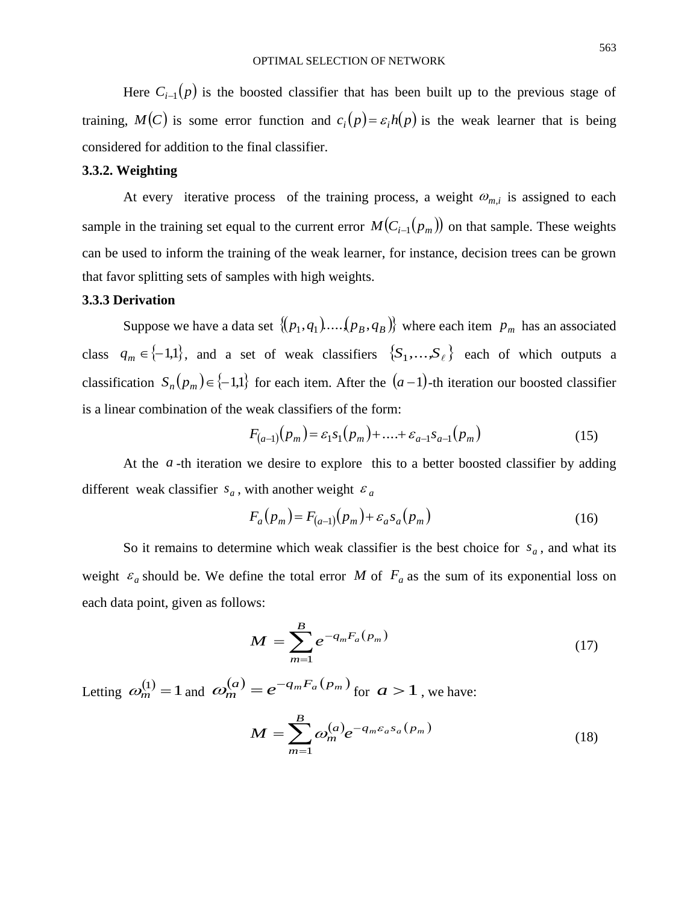Here  $C_{i-1}(p)$  is the boosted classifier that has been built up to the previous stage of training,  $M(C)$  is some error function and  $c_i(p) = \varepsilon_i h(p)$  is the weak learner that is being considered for addition to the final classifier.

#### **3.3.2. Weighting**

At every iterative process of the training process, a weight  $\omega_{m,i}$  is assigned to each sample in the training set equal to the current error  $M(C_{i-1}(p_m))$  on that sample. These weights can be used to inform the training of the weak learner, for instance, decision trees can be grown that favor splitting sets of samples with high weights.

#### **3.3.3 Derivation**

Suppose we have a data set  $\{(p_1, q_1) \dots (p_B, q_B)\}\$  where each item  $p_m$  has an associated class  $q_m \in \{-1,1\}$ , and a set of weak classifiers  $\{S_1,\ldots,S_\ell\}$  each of which outputs a classification  $S_n(p_m) \in \{-1,1\}$  for each item. After the  $(a-1)$ -th iteration our boosted classifier is a linear combination of the weak classifiers of the form:

$$
F_{(a-1)}(p_m) = \varepsilon_1 s_1(p_m) + \dots + \varepsilon_{a-1} s_{a-1}(p_m)
$$
 (15)

At the  $a$ -th iteration we desire to explore this to a better boosted classifier by adding different weak classifier  $s_a$ , with another weight  $\varepsilon_a$ 

$$
F_a(p_m) = F_{(a-1)}(p_m) + \varepsilon_a s_a(p_m)
$$
 (16)

So it remains to determine which weak classifier is the best choice for  $s_a$ , and what its weight  $\varepsilon_a$  should be. We define the total error M of  $F_a$  as the sum of its exponential loss on each data point, given as follows:

$$
M = \sum_{m=1}^{B} e^{-q_m F_a(p_m)}
$$
 (17)

Letting  $\omega_m^{(1)} = 1$  $\omega_m^{(1)} = 1$  and  $\omega_m^{(a)} = e^{-q_m F_a(p_m)}$  for  $a > 1$ , we have:

$$
M = \sum_{m=1}^{B} \omega_m^{(a)} e^{-q_m \varepsilon_a s_a(p_m)}
$$
(18)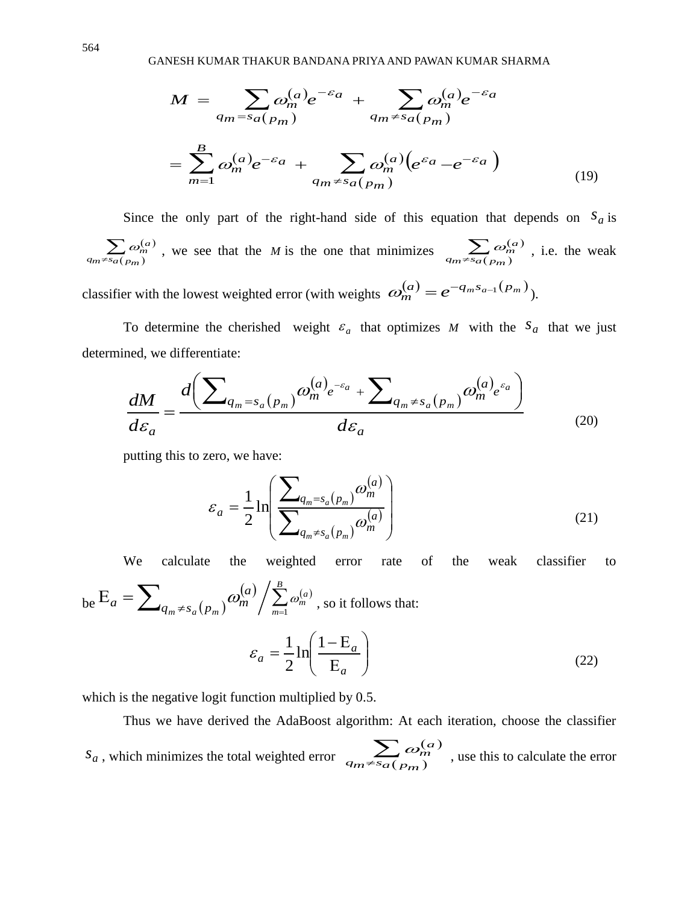GANESH KUMAR THAKUR BANDANA PRIYA AND PAWAN KUMAR SHARMA

$$
M = \sum_{q_m = s_a(p_m)} \omega_m^{(a)} e^{-\varepsilon_a} + \sum_{q_m \neq s_a(p_m)} \omega_m^{(a)} e^{-\varepsilon_a}
$$

$$
= \sum_{m=1}^{B} \omega_m^{(a)} e^{-\varepsilon_a} + \sum_{q_m \neq s_a(p_m)} \omega_m^{(a)} (e^{\varepsilon_a} - e^{-\varepsilon_a})
$$
(19)

Since the only part of the right-hand side of this equation that depends on  $S_a$  is  $(a)$  $\sum_{s_a(p_m)} \omega_n^{(n)}$  $q_m \neq s_a(p_m)$  $\omega_m^{(a)}$ , we see that the *M* is the one that minimizes  $\sum \omega_m^{(a)}$  $\sum_{f\in S_{a}(p_{m})}$  $q_m \neq s_a(p_m)$  $\omega_m^{(a)}$ , i.e. the weak classifier with the lowest weighted error (with weights  $\omega_m^{(a)} = e^{-q_m s_{a-1}(p_m)}$ ).

To determine the cherished weight  $\varepsilon_a$  that optimizes M with the  $s_a$  that we just determined, we differentiate:

$$
\frac{dM}{d\varepsilon_a} = \frac{d\left(\sum_{q_m = s_a(p_m)} \omega_m^{(a)} e^{-\varepsilon_a} + \sum_{q_m \neq s_a(p_m)} \omega_m^{(a)} e^{\varepsilon_a}\right)}{d\varepsilon_a}
$$
(20)

putting this to zero, we have:

$$
\varepsilon_a = \frac{1}{2} \ln \left( \frac{\sum_{q_m = s_a(p_m)} \omega_m^{(a)}}{\sum_{q_m \neq s_a(p_m)} \omega_m^{(a)}} \right)
$$
(21)

We calculate the weighted error rate of the weak classifier to

be 
$$
E_a = \sum_{q_m \neq s_a(p_m)} \omega_m^{(a)} / \sum_{m=1}^B \omega_m^{(a)}
$$
, so it follows that:  

$$
\varepsilon_a = \frac{1}{2} \ln \left( \frac{1 - E_a}{E_a} \right)
$$
(22)

which is the negative logit function multiplied by 0.5.

Thus we have derived the AdaBoost algorithm: At each iteration, choose the classifier *a s* , which minimizes the total weighted error  $(a)$  $\sum_{m \neq s} \omega_m^6$  $\omega_m^{(a)}$ , use this to calculate the error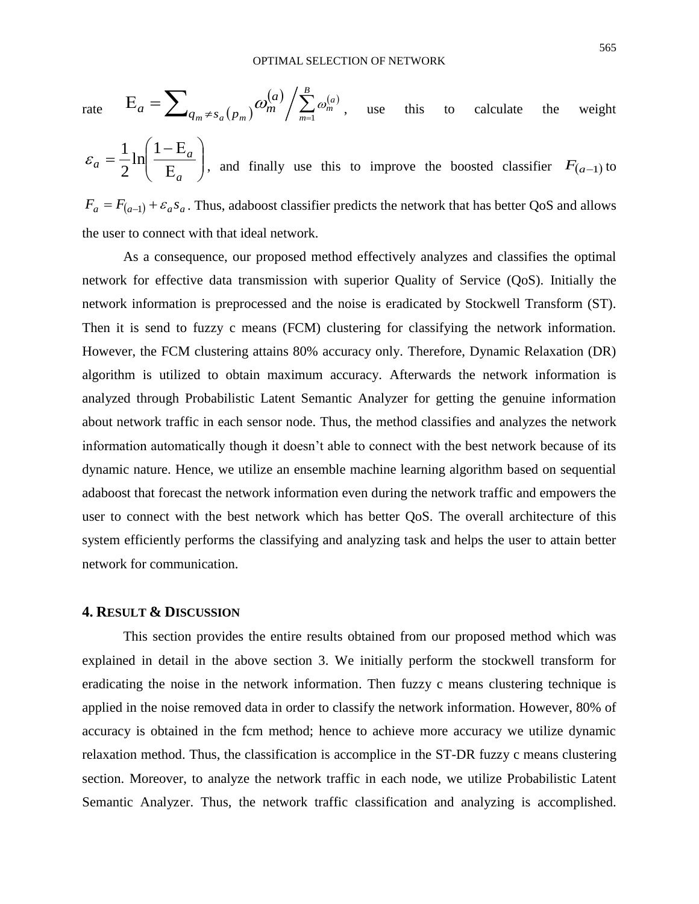rate 
$$
E_a = \sum_{q_m \neq s_a(p_m)} \omega_m^{(a)} / \sum_{m=1}^B \omega_m^{(a)}
$$
, use this to calculate the weight

 $\overline{\phantom{a}}$ J  $\backslash$  $\overline{\phantom{a}}$  $\setminus$ ſ E  $- E$ = *a a a* 1 ln 2  $\varepsilon_a = \frac{1}{2} \ln \left( \frac{1 - E_a}{E} \right)$ , and finally use this to improve the boosted classifier  $F_{(a-1)}$  to  $F_a = F_{(a-1)} + \varepsilon_a s_a$ . Thus, adaboost classifier predicts the network that has better QoS and allows the user to connect with that ideal network.

As a consequence, our proposed method effectively analyzes and classifies the optimal network for effective data transmission with superior Quality of Service (QoS). Initially the network information is preprocessed and the noise is eradicated by Stockwell Transform (ST). Then it is send to fuzzy c means (FCM) clustering for classifying the network information. However, the FCM clustering attains 80% accuracy only. Therefore, Dynamic Relaxation (DR) algorithm is utilized to obtain maximum accuracy. Afterwards the network information is analyzed through Probabilistic Latent Semantic Analyzer for getting the genuine information about network traffic in each sensor node. Thus, the method classifies and analyzes the network information automatically though it doesn't able to connect with the best network because of its dynamic nature. Hence, we utilize an ensemble machine learning algorithm based on sequential adaboost that forecast the network information even during the network traffic and empowers the user to connect with the best network which has better QoS. The overall architecture of this system efficiently performs the classifying and analyzing task and helps the user to attain better network for communication.

## **4. RESULT & DISCUSSION**

This section provides the entire results obtained from our proposed method which was explained in detail in the above section 3. We initially perform the stockwell transform for eradicating the noise in the network information. Then fuzzy c means clustering technique is applied in the noise removed data in order to classify the network information. However, 80% of accuracy is obtained in the fcm method; hence to achieve more accuracy we utilize dynamic relaxation method. Thus, the classification is accomplice in the ST-DR fuzzy c means clustering section. Moreover, to analyze the network traffic in each node, we utilize Probabilistic Latent Semantic Analyzer. Thus, the network traffic classification and analyzing is accomplished.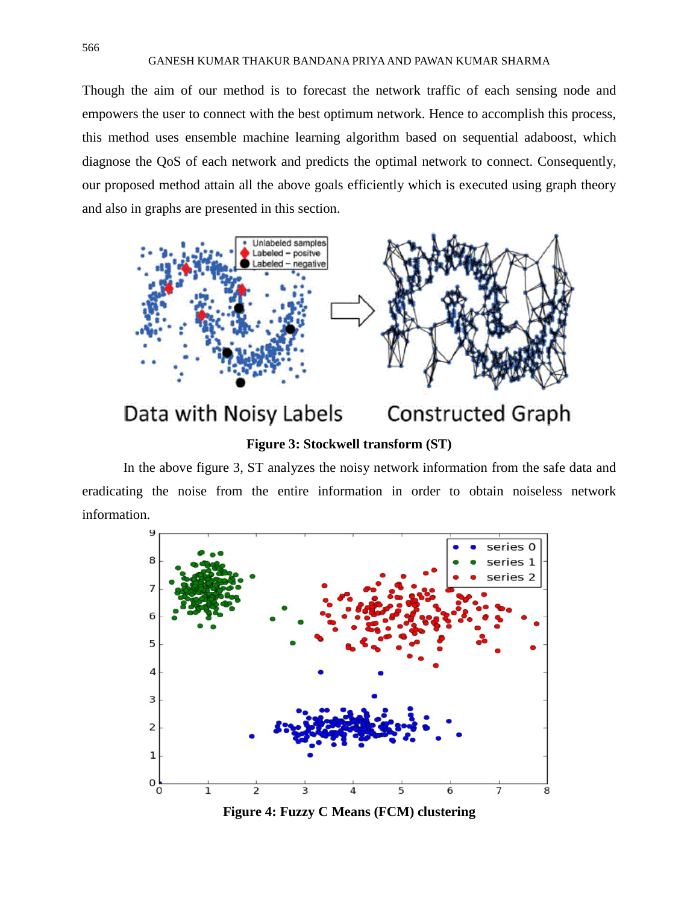#### GANESH KUMAR THAKUR BANDANA PRIYA AND PAWAN KUMAR SHARMA

Though the aim of our method is to forecast the network traffic of each sensing node and empowers the user to connect with the best optimum network. Hence to accomplish this process, this method uses ensemble machine learning algorithm based on sequential adaboost, which diagnose the QoS of each network and predicts the optimal network to connect. Consequently, our proposed method attain all the above goals efficiently which is executed using graph theory and also in graphs are presented in this section.



Data with Noisy Labels **Constructed Graph** 

## **Figure 3: Stockwell transform (ST)**

In the above figure 3, ST analyzes the noisy network information from the safe data and eradicating the noise from the entire information in order to obtain noiseless network information.



**Figure 4: Fuzzy C Means (FCM) clustering**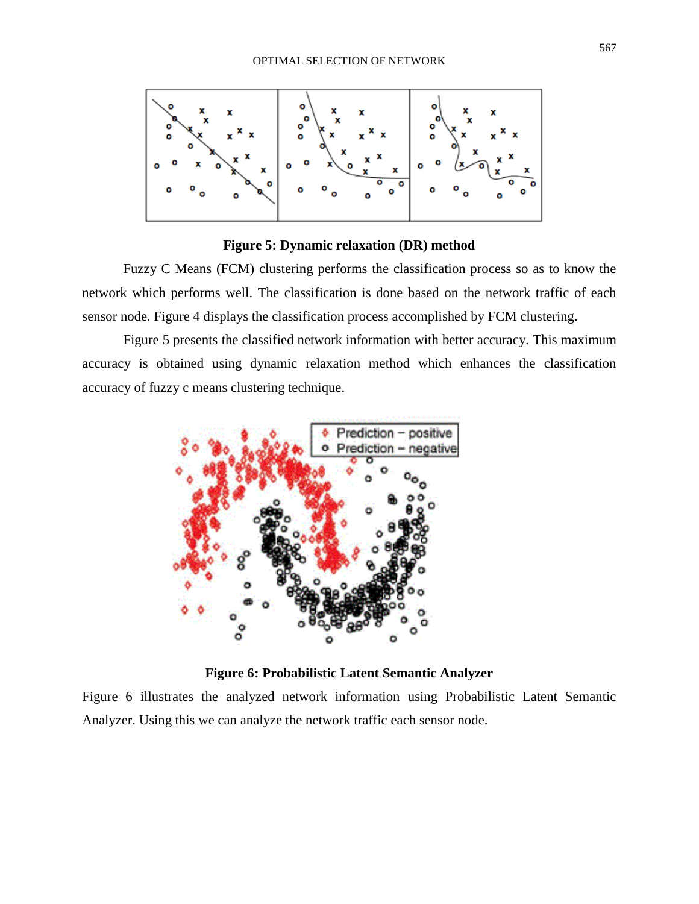

**Figure 5: Dynamic relaxation (DR) method**

Fuzzy C Means (FCM) clustering performs the classification process so as to know the network which performs well. The classification is done based on the network traffic of each sensor node. Figure 4 displays the classification process accomplished by FCM clustering.

Figure 5 presents the classified network information with better accuracy. This maximum accuracy is obtained using dynamic relaxation method which enhances the classification accuracy of fuzzy c means clustering technique.



**Figure 6: Probabilistic Latent Semantic Analyzer**

Figure 6 illustrates the analyzed network information using Probabilistic Latent Semantic Analyzer. Using this we can analyze the network traffic each sensor node.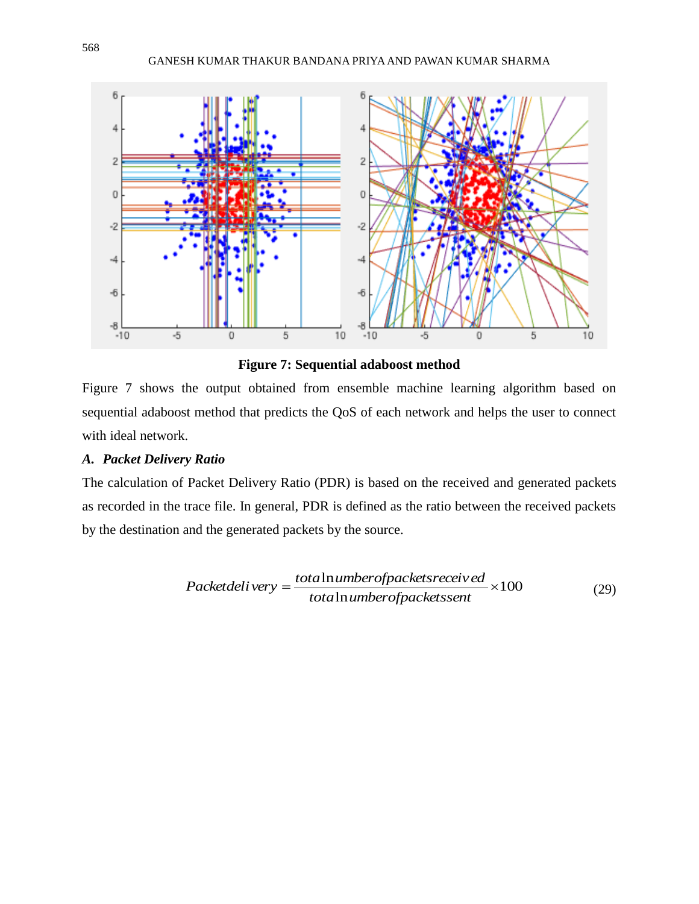

**Figure 7: Sequential adaboost method**

Figure 7 shows the output obtained from ensemble machine learning algorithm based on sequential adaboost method that predicts the QoS of each network and helps the user to connect with ideal network.

## *A. Packet Delivery Ratio*

The calculation of Packet Delivery Ratio (PDR) is based on the received and generated packets as recorded in the trace file. In general, PDR is defined as the ratio between the received packets by the destination and the generated packets by the source.

$$
Packetdeli very = \frac{totalnumberof packets receiveed}{totalnumberof packetssent} \times 100
$$
 (29)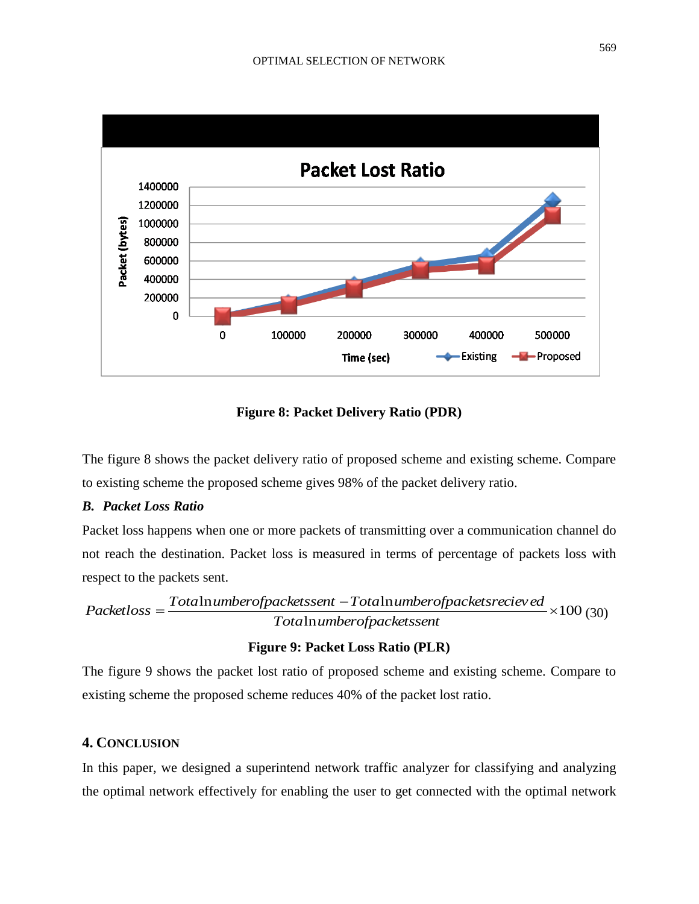

**Figure 8: Packet Delivery Ratio (PDR)**

The figure 8 shows the packet delivery ratio of proposed scheme and existing scheme. Compare to existing scheme the proposed scheme gives 98% of the packet delivery ratio.

## *B. Packet Loss Ratio*

Packet loss happens when one or more packets of transmitting over a communication channel do not reach the destination. Packet loss is measured in terms of percentage of packets loss with respect to the packets sent.

 $Packetloss = Totalnumberof packets sent - Totalnumberof packets}{Total number of packets sent - Total number of packets receivesed} \times 100(30)$ ln *Tota umberofpacketssent*  $Packetloss =$ 

### **Figure 9: Packet Loss Ratio (PLR)**

The figure 9 shows the packet lost ratio of proposed scheme and existing scheme. Compare to existing scheme the proposed scheme reduces 40% of the packet lost ratio.

## **4. CONCLUSION**

In this paper, we designed a superintend network traffic analyzer for classifying and analyzing the optimal network effectively for enabling the user to get connected with the optimal network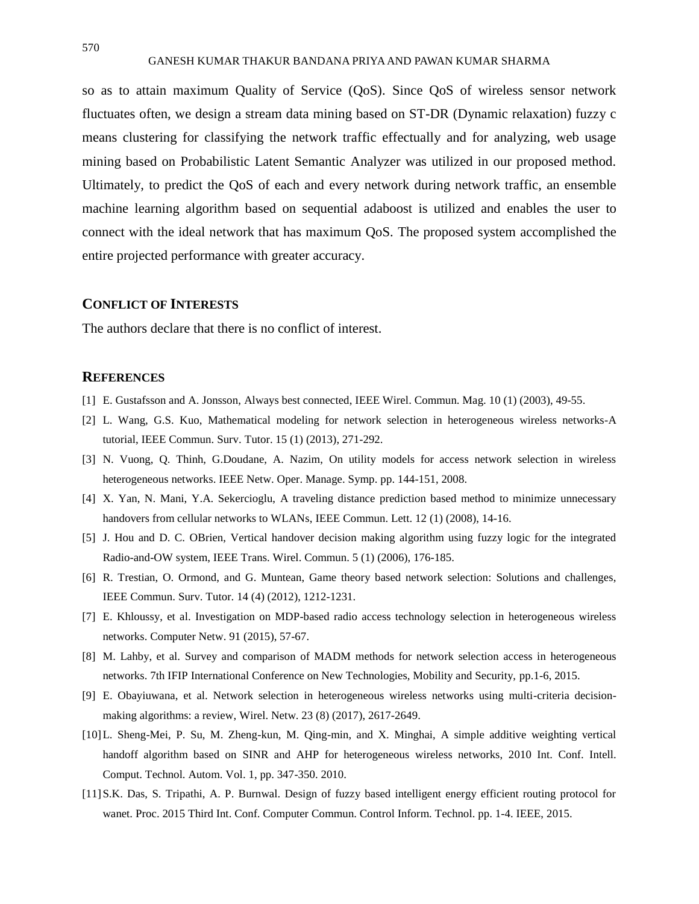so as to attain maximum Quality of Service (QoS). Since QoS of wireless sensor network fluctuates often, we design a stream data mining based on ST-DR (Dynamic relaxation) fuzzy c means clustering for classifying the network traffic effectually and for analyzing, web usage mining based on Probabilistic Latent Semantic Analyzer was utilized in our proposed method. Ultimately, to predict the QoS of each and every network during network traffic, an ensemble machine learning algorithm based on sequential adaboost is utilized and enables the user to connect with the ideal network that has maximum QoS. The proposed system accomplished the entire projected performance with greater accuracy.

## **CONFLICT OF INTERESTS**

The authors declare that there is no conflict of interest.

#### **REFERENCES**

- [1] E. Gustafsson and A. Jonsson, Always best connected, IEEE Wirel. Commun. Mag. 10 (1) (2003), 49-55.
- [2] L. Wang, G.S. Kuo, Mathematical modeling for network selection in heterogeneous wireless networks-A tutorial, IEEE Commun. Surv. Tutor. 15 (1) (2013), 271-292.
- [3] N. Vuong, Q. Thinh, G.Doudane, A. Nazim, On utility models for access network selection in wireless heterogeneous networks. IEEE Netw. Oper. Manage. Symp. pp. 144-151, 2008.
- [4] X. Yan, N. Mani, Y.A. Sekercioglu, A traveling distance prediction based method to minimize unnecessary handovers from cellular networks to WLANs, IEEE Commun. Lett. 12 (1) (2008), 14-16.
- [5] J. Hou and D. C. OBrien, Vertical handover decision making algorithm using fuzzy logic for the integrated Radio-and-OW system, IEEE Trans. Wirel. Commun. 5 (1) (2006), 176-185.
- [6] R. Trestian, O. Ormond, and G. Muntean, Game theory based network selection: Solutions and challenges, IEEE Commun. Surv. Tutor. 14 (4) (2012), 1212-1231.
- [7] E. Khloussy, et al. Investigation on MDP-based radio access technology selection in heterogeneous wireless networks. Computer Netw. 91 (2015), 57-67.
- [8] M. Lahby, et al. Survey and comparison of MADM methods for network selection access in heterogeneous networks. 7th IFIP International Conference on New Technologies, Mobility and Security, pp.1-6, 2015.
- [9] E. Obayiuwana, et al. Network selection in heterogeneous wireless networks using multi-criteria decisionmaking algorithms: a review, Wirel. Netw. 23 (8) (2017), 2617-2649.
- [10]L. Sheng-Mei, P. Su, M. Zheng-kun, M. Qing-min, and X. Minghai, A simple additive weighting vertical handoff algorithm based on SINR and AHP for heterogeneous wireless networks, 2010 Int. Conf. Intell. Comput. Technol. Autom. Vol. 1, pp. 347-350. 2010.
- [11]S.K. Das, S. Tripathi, A. P. Burnwal. Design of fuzzy based intelligent energy efficient routing protocol for wanet. Proc. 2015 Third Int. Conf. Computer Commun. Control Inform. Technol. pp. 1-4. IEEE, 2015.